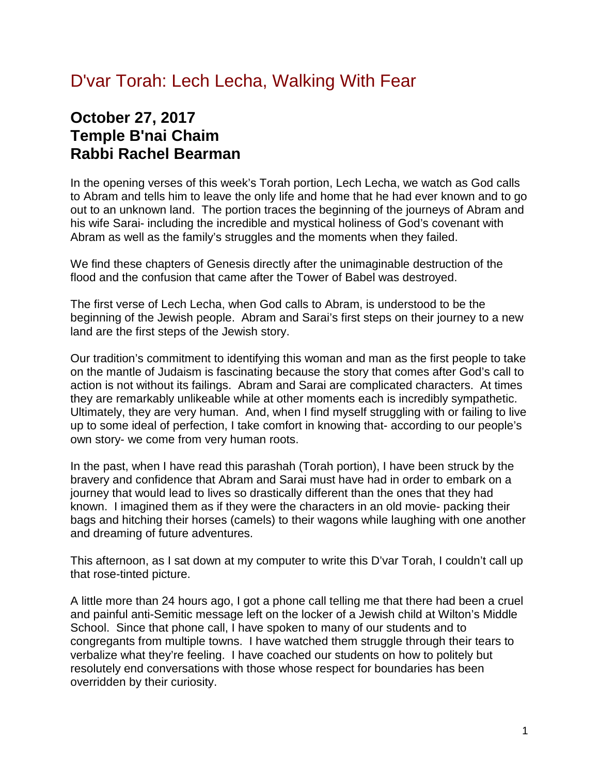## D'var Torah: Lech Lecha, Walking With Fear

## **October 27, 2017 Temple B'nai Chaim Rabbi Rachel Bearman**

In the opening verses of this week's Torah portion, Lech Lecha, we watch as God calls to Abram and tells him to leave the only life and home that he had ever known and to go out to an unknown land. The portion traces the beginning of the journeys of Abram and his wife Sarai- including the incredible and mystical holiness of God's covenant with Abram as well as the family's struggles and the moments when they failed.

We find these chapters of Genesis directly after the unimaginable destruction of the flood and the confusion that came after the Tower of Babel was destroyed.

The first verse of Lech Lecha, when God calls to Abram, is understood to be the beginning of the Jewish people. Abram and Sarai's first steps on their journey to a new land are the first steps of the Jewish story.

Our tradition's commitment to identifying this woman and man as the first people to take on the mantle of Judaism is fascinating because the story that comes after God's call to action is not without its failings. Abram and Sarai are complicated characters. At times they are remarkably unlikeable while at other moments each is incredibly sympathetic. Ultimately, they are very human. And, when I find myself struggling with or failing to live up to some ideal of perfection, I take comfort in knowing that- according to our people's own story- we come from very human roots.

In the past, when I have read this parashah (Torah portion), I have been struck by the bravery and confidence that Abram and Sarai must have had in order to embark on a journey that would lead to lives so drastically different than the ones that they had known. I imagined them as if they were the characters in an old movie- packing their bags and hitching their horses (camels) to their wagons while laughing with one another and dreaming of future adventures.

This afternoon, as I sat down at my computer to write this D'var Torah, I couldn't call up that rose-tinted picture.

A little more than 24 hours ago, I got a phone call telling me that there had been a cruel and painful anti-Semitic message left on the locker of a Jewish child at Wilton's Middle School. Since that phone call, I have spoken to many of our students and to congregants from multiple towns. I have watched them struggle through their tears to verbalize what they're feeling. I have coached our students on how to politely but resolutely end conversations with those whose respect for boundaries has been overridden by their curiosity.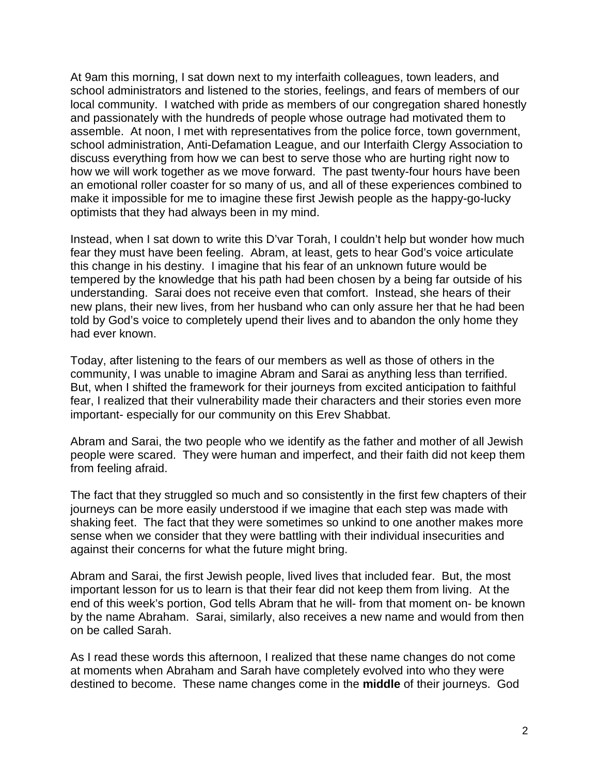At 9am this morning, I sat down next to my interfaith colleagues, town leaders, and school administrators and listened to the stories, feelings, and fears of members of our local community. I watched with pride as members of our congregation shared honestly and passionately with the hundreds of people whose outrage had motivated them to assemble. At noon, I met with representatives from the police force, town government, school administration, Anti-Defamation League, and our Interfaith Clergy Association to discuss everything from how we can best to serve those who are hurting right now to how we will work together as we move forward. The past twenty-four hours have been an emotional roller coaster for so many of us, and all of these experiences combined to make it impossible for me to imagine these first Jewish people as the happy-go-lucky optimists that they had always been in my mind.

Instead, when I sat down to write this D'var Torah, I couldn't help but wonder how much fear they must have been feeling. Abram, at least, gets to hear God's voice articulate this change in his destiny. I imagine that his fear of an unknown future would be tempered by the knowledge that his path had been chosen by a being far outside of his understanding. Sarai does not receive even that comfort. Instead, she hears of their new plans, their new lives, from her husband who can only assure her that he had been told by God's voice to completely upend their lives and to abandon the only home they had ever known.

Today, after listening to the fears of our members as well as those of others in the community, I was unable to imagine Abram and Sarai as anything less than terrified. But, when I shifted the framework for their journeys from excited anticipation to faithful fear, I realized that their vulnerability made their characters and their stories even more important- especially for our community on this Erev Shabbat.

Abram and Sarai, the two people who we identify as the father and mother of all Jewish people were scared. They were human and imperfect, and their faith did not keep them from feeling afraid.

The fact that they struggled so much and so consistently in the first few chapters of their journeys can be more easily understood if we imagine that each step was made with shaking feet. The fact that they were sometimes so unkind to one another makes more sense when we consider that they were battling with their individual insecurities and against their concerns for what the future might bring.

Abram and Sarai, the first Jewish people, lived lives that included fear. But, the most important lesson for us to learn is that their fear did not keep them from living. At the end of this week's portion, God tells Abram that he will- from that moment on- be known by the name Abraham. Sarai, similarly, also receives a new name and would from then on be called Sarah.

As I read these words this afternoon, I realized that these name changes do not come at moments when Abraham and Sarah have completely evolved into who they were destined to become. These name changes come in the **middle** of their journeys. God